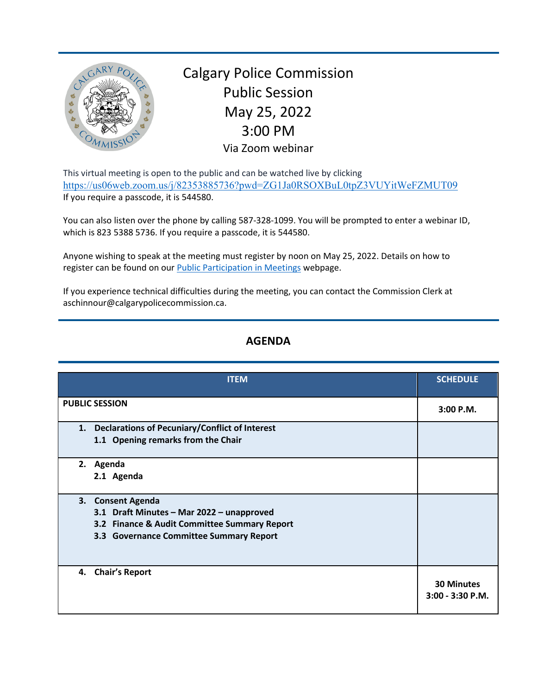

Calgary Police Commission Public Session May 25, 2022 3:00 PM Via Zoom webinar

This virtual meeting is open to the public and can be watched live by clicking <https://us06web.zoom.us/j/82353885736?pwd=ZG1Ja0RSOXBuL0tpZ3VUYitWeFZMUT09> If you require a passcode, it is 544580.

You can also listen over the phone by calling 587-328-1099. You will be prompted to enter a webinar ID, which is 823 5388 5736. If you require a passcode, it is 544580.

Anyone wishing to speak at the meeting must register by noon on May 25, 2022. Details on how to register can be found on our [Public Participation in Meetings](https://www.calgarypolicecommission.ca/public-participation-in-meetings/) webpage.

If you experience technical difficulties during the meeting, you can contact the Commission Clerk at aschinnour@calgarypolicecommission.ca.

## **AGENDA**

| <b>ITEM</b>                                                                                                                                               | <b>SCHEDULE</b>                       |
|-----------------------------------------------------------------------------------------------------------------------------------------------------------|---------------------------------------|
| <b>PUBLIC SESSION</b>                                                                                                                                     | $3:00$ P.M.                           |
| <b>Declarations of Pecuniary/Conflict of Interest</b><br>1.<br>1.1 Opening remarks from the Chair                                                         |                                       |
| 2.<br>Agenda<br>2.1 Agenda                                                                                                                                |                                       |
| 3. Consent Agenda<br>3.1 Draft Minutes - Mar 2022 - unapproved<br>3.2 Finance & Audit Committee Summary Report<br>3.3 Governance Committee Summary Report |                                       |
| 4. Chair's Report                                                                                                                                         | <b>30 Minutes</b><br>3:00 - 3:30 P.M. |